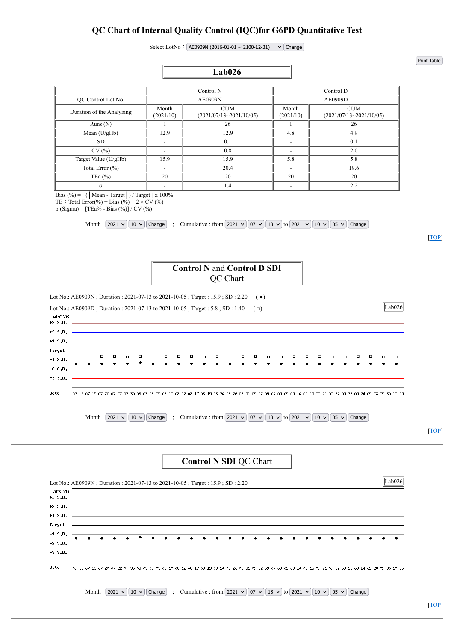### **QC Chart of Internal Quality Control (IQC)for G6PD Quantitative Test**

Select LotNo:  $AE0909N (2016-01-01 \sim 2100-12-31)$   $\vee$  Change

|                           |                    | Lab <sub>026</sub>             |                    |                                       |  |  |  |  |  |
|---------------------------|--------------------|--------------------------------|--------------------|---------------------------------------|--|--|--|--|--|
|                           |                    |                                |                    |                                       |  |  |  |  |  |
|                           |                    | Control N                      |                    | Control D                             |  |  |  |  |  |
| OC Control Lot No.        |                    | AE0909N                        | AE0909D            |                                       |  |  |  |  |  |
| Duration of the Analyzing | Month<br>(2021/10) | CUM<br>(2021/07/13~2021/10/05) | Month<br>(2021/10) | <b>CUM</b><br>(2021/07/13~2021/10/05) |  |  |  |  |  |
| Runs(N)                   |                    | 26                             |                    | 26                                    |  |  |  |  |  |
| Mean $(U/gHb)$            | 12.9               | 12.9                           | 4.8                | 4.9                                   |  |  |  |  |  |
| SD.                       |                    | 0.1                            |                    | 0.1                                   |  |  |  |  |  |
| CV(%)                     |                    | 0.8                            |                    | 2.0                                   |  |  |  |  |  |
| Target Value (U/gHb)      | 15.9               | 15.9                           | 5.8                | 5.8                                   |  |  |  |  |  |
| Total Error (%)           |                    | 20.4                           | -                  | 19.6                                  |  |  |  |  |  |
| TEa $(\% )$               | 20                 | 20                             | 20                 | 20                                    |  |  |  |  |  |
| $\sigma$                  |                    | 1.4                            |                    | 2.2                                   |  |  |  |  |  |

Bias (%) = [ (│Mean - Target│) / Target ] x 100% TE : Total Error(%) = Bias (%) + 2 × CV (%)

σ (Sigma) = [TEa% - Bias (%)] / CV (%)

Month :  $[2021 \vee 10 \vee$  Change ; Cumulative : from  $[2021 \vee 07 \vee 13 \vee 07]$  to  $[2021 \vee 07]$  O5  $\vee$  Change

[\[TOP\]](http://iqc.g6pd.tw/MIS/IntraQC_lab_stat.test.php?UnitID=Lab026&Year=2021&Month=10&YearFrom=2021&MonthFrom=07&DayFrom=13&YearTo=2021&MonthTo=10&DayTo=05&LotNo=AE0909N&ChangeDate=Change&lang=en&PrintFriendly=yes#top)



Lot No.: AE0909N; Duration: 2021-07-13 to 2021-10-05; Target: 15.9; SD: 2.20 (•)



Date 07-13 07-15 07-20 07-22 07-30 08-03 08-05 08-10 08-12 08-17 08-19 08-24 08-26 08-31 09-02 09-07 09-09 09-14 09-15 09-21 09-22 09-23 09-24 09-28 09-30 10-05

Month :  $[2021 \vee 10 \vee$  Change ; Cumulative : from  $[2021 \vee 07 \vee 13 \vee 07]$  to  $[2021 \vee 07]$   $[05 \vee 07]$  Change

[\[TOP\]](http://iqc.g6pd.tw/MIS/IntraQC_lab_stat.test.php?UnitID=Lab026&Year=2021&Month=10&YearFrom=2021&MonthFrom=07&DayFrom=13&YearTo=2021&MonthTo=10&DayTo=05&LotNo=AE0909N&ChangeDate=Change&lang=en&PrintFriendly=yes#top)

#### **Control N SDI** QC Chart



Print Table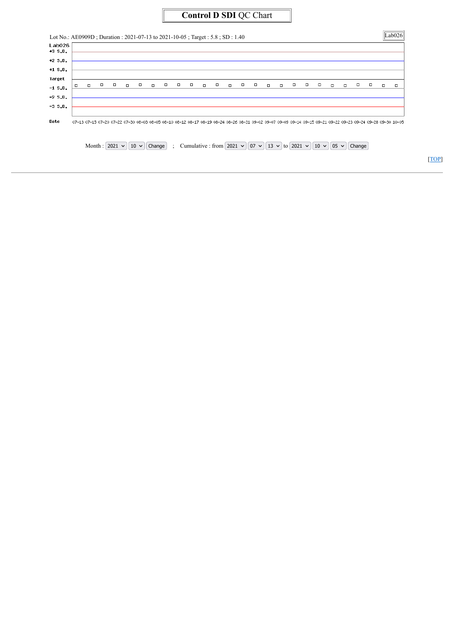# **Control D SDI** QC Chart

| $+3 S.D.$           |        |        |        |        |        |        |        |        |        |        |        |        |        |        |        |        |   |   |        |        |        |        |   |        |
|---------------------|--------|--------|--------|--------|--------|--------|--------|--------|--------|--------|--------|--------|--------|--------|--------|--------|---|---|--------|--------|--------|--------|---|--------|
| $+2 S.D.$           |        |        |        |        |        |        |        |        |        |        |        |        |        |        |        |        |   |   |        |        |        |        |   |        |
| $+1$ S.D.           |        |        |        |        |        |        |        |        |        |        |        |        |        |        |        |        |   |   |        |        |        |        |   |        |
|                     |        |        |        |        |        |        |        |        |        |        |        |        |        |        |        |        |   |   |        |        |        |        |   |        |
| $\Box$<br>$-1$ S.D. | $\Box$ | $\Box$ | $\Box$ | $\Box$ | $\Box$ | $\Box$ | $\Box$ | $\Box$ | $\Box$ | $\Box$ | $\Box$ | $\Box$ | $\Box$ | $\Box$ | $\Box$ | $\Box$ | □ | □ | $\Box$ | $\Box$ | $\Box$ | $\Box$ | □ | $\Box$ |
| $-2S.D.$            |        |        |        |        |        |        |        |        |        |        |        |        |        |        |        |        |   |   |        |        |        |        |   |        |
| $-3S.D.$            |        |        |        |        |        |        |        |        |        |        |        |        |        |        |        |        |   |   |        |        |        |        |   |        |
|                     |        |        |        |        |        |        |        |        |        |        |        |        |        |        |        |        |   |   |        |        |        |        |   |        |

Month :  $2021 \text{ V}$   $10 \text{ V}$  Change ; Cumulative : from  $2021 \text{ V}$   $07 \text{ V}$   $13 \text{ V}$  to  $2021 \text{ V}$   $10 \text{ V}$   $05 \text{ V}$  Change

[\[TOP\]](http://iqc.g6pd.tw/MIS/IntraQC_lab_stat.test.php?UnitID=Lab026&Year=2021&Month=10&YearFrom=2021&MonthFrom=07&DayFrom=13&YearTo=2021&MonthTo=10&DayTo=05&LotNo=AE0909N&ChangeDate=Change&lang=en&PrintFriendly=yes#top)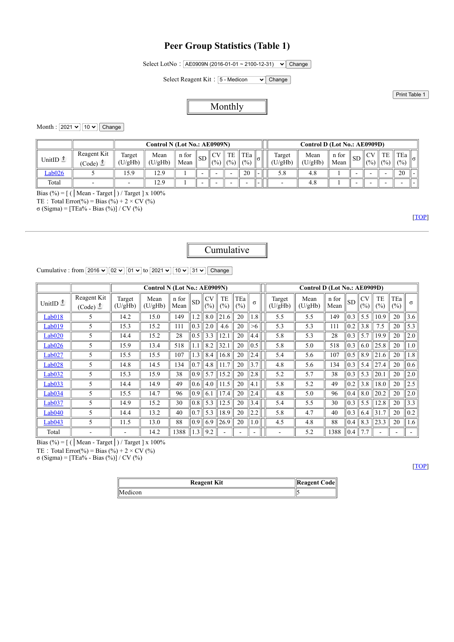### <span id="page-2-0"></span>**Peer Group Statistics (Table 1)**

Select LotNo: AE0909N (2016-01-01 ~ 2100-12-31) v Change

Select Reagent Kit: 5 - Medicon  $\vee$  Change

Print Table 1

#### Monthly

Month :  $2021 \times 10 \times$  Change

|                     |                       |                  | Control N (Lot No.: AE0909N) |               |    |                 |                   |              | Control D (Lot No.: AE0909D) |                   |                 |               |      |                                   |             |              |          |
|---------------------|-----------------------|------------------|------------------------------|---------------|----|-----------------|-------------------|--------------|------------------------------|-------------------|-----------------|---------------|------|-----------------------------------|-------------|--------------|----------|
| UnitID $\mathbb{L}$ | Reagent Kit<br>'Code) | Target<br>U/gHb) | Mean<br>(U/gHb)              | n for<br>Mean | SD | $\cap$ V<br>(%) | TE<br>$\  (0, 0)$ | TEa<br>(0/0) | $\ \alpha\ $                 | Target<br>(U/gHb` | Mean<br>(U/gHb) | n for<br>Mean | .SD. | $\sim$ $\sim$ $\sim$<br>$(9/6)$ . | TE<br>(9/0) | TEa<br>(0/0) | $\sigma$ |
| $\text{lab}026$     |                       | 15.9             | 12.9                         |               |    |                 |                   | 20           | -                            | 5.8               | 4.8             |               |      |                                   |             | 20           |          |
| Total               |                       |                  | 12.9                         |               |    |                 |                   |              | -                            |                   | 4.8             |               |      |                                   |             |              |          |

Bias (%) = [ (│Mean - Target│) / Target ] x 100%

TE : Total Error(%) = Bias (%) + 2 × CV (%)

σ (Sigma) = [TEa% - Bias (%)] / CV (%)

[[TOP](#page-2-0)]

## Cumulative

Cumulative : from  $\boxed{2016 \vee \boxed{02 \vee \boxed{01 \vee}}$  to  $\boxed{2021 \vee \boxed{10 \vee \boxed{31 \vee}}$  Change

|                     |                       |                   | Control N (Lot No.: AE0909N) |               |           |                  |           |               |                    | Control D (Lot No.: AE0909D) |                 |               |                   |                  |                     |            |          |  |  |  |
|---------------------|-----------------------|-------------------|------------------------------|---------------|-----------|------------------|-----------|---------------|--------------------|------------------------------|-----------------|---------------|-------------------|------------------|---------------------|------------|----------|--|--|--|
| UnitID $\mathbb{L}$ | Reagent Kit<br>(Code) | Target<br>(U/gHb) | Mean<br>(U/gHb)              | n for<br>Mean | <b>SD</b> | <b>CV</b><br>(%) | TE<br>(%) | TEa<br>$(\%)$ | $\sigma$           | Target<br>(U/gHb)            | Mean<br>(U/gHb) | n for<br>Mean | SD                | <b>CV</b><br>(%) | TE<br>$\frac{0}{0}$ | TEa<br>(%) | $\sigma$ |  |  |  |
| Lab018              | 5                     | 14.2              | 15.0                         | 149           | 1.2       | 8.0              | 21.6      | 20            | 1.8                | 5.5                          | 5.5             | 149           | 0.3               | 5.5              | 10.9                | 20         | 3.6      |  |  |  |
| Lab019              | 5                     | 15.3              | 15.2                         | 111           | 0.3       | 2.0              | 4.6       | 20            | >6                 | 5.3                          | 5.3             | 111           | 0.2               | 3.8              | 7.5                 | 20         | 5.3      |  |  |  |
| Lab <sub>020</sub>  | 5                     | 14.4              | 15.2                         | 28            | 0.5       | 3.3              | 12.1      | 20            | 4.4                | 5.8                          | 5.3             | 28            | 0.3               | 5.7              | 19.9                | 20         | 2.0      |  |  |  |
| Lab <sub>026</sub>  | 5                     | 15.9              | 13.4                         | 518           | 1.1       | 8.2              | 32.1      | 20            | 0.5                | 5.8                          | 5.0             | 518           | 0.3               | 6.0              | 25.8                | 20         | 1.0      |  |  |  |
| Lab027              | 5                     | 15.5              | 15.5                         | 107           | 1.3       | 8.4              | 16.8      | 20            | 2.4                | 5.4                          | 5.6             | 107           | 0.5               | 8.9              | 21.6                | 20         | 1.8      |  |  |  |
| Lab028              | 5                     | 14.8              | 14.5                         | 134           | 0.7       | 4.8              | 1.7       | 20            | 3.7                | 4.8                          | 5.6             | 134           | 0.3               | 5.4              | 27.4                | 20         | 0.6      |  |  |  |
| Lab <sub>032</sub>  | 5                     | 15.3              | 15.9                         | 38            | 0.9       | 5.7              | 15.2      | 20            | 2.8                | 5.2                          | 5.7             | 38            | 0.3               | 5.3              | 20.1                | 20         | 2.0      |  |  |  |
| Lab033              | 5                     | 14.4              | 14.9                         | 49            | 0.6       | 4.0              | 11.5      | 20            | $\left[4, \right]$ | 5.8                          | 5.2             | 49            | 0.2               | 3.8              | 18.0                | 20         | 2.5      |  |  |  |
| Lab034              | 5                     | 15.5              | 14.7                         | 96            | 0.9       | 6.1              | 17.4      | 20            | 2.4                | 4.8                          | 5.0             | 96            | 0.4               | 8.0              | 20.2                | 20         | 2.0      |  |  |  |
| Lab037              | 5                     | 14.9              | 15.2                         | 30            | 0.8       | 5.3              | 12.5      | 20            | 3.4                | 5.4                          | 5.5             | 30            | 0.3               | 5.5              | 12.8                | 20         | 3.3      |  |  |  |
| Lab040              | 5                     | 14.4              | 13.2                         | 40            | 0.7       | 5.3              | 18.9      | 20            | 2.2                | 5.8                          | 4.7             | 40            | $\vert 0.3 \vert$ | 6.4              | 31.7                | 20         | 0.2      |  |  |  |
| Lab043              | 5                     | 11.5              | 13.0                         | 88            | 0.9       | 6.9              | 26.9      | 20            | $\cdot$            | 4.5                          | 4.8             | 88            | 0.4               | 8.3              | 23.3                | 20         | 1.6      |  |  |  |
| Total               |                       |                   | 14.2                         | 1388          | 1.3       | 9.2              |           |               |                    |                              | 5.2             | 1388          | 0.4               | 7.7              |                     |            |          |  |  |  |

Bias (%) = [ (│Mean - Target│) / Target ] x 100%

TE : Total Error(%) = Bias (%) + 2 × CV (%)

σ (Sigma) = [TEa% - Bias (%)] / CV (%)

[[TOP](#page-2-0)]

| <b>Reagent Kit</b> | $\ $ Reagent Code $\ $ |
|--------------------|------------------------|
| Medicon            |                        |